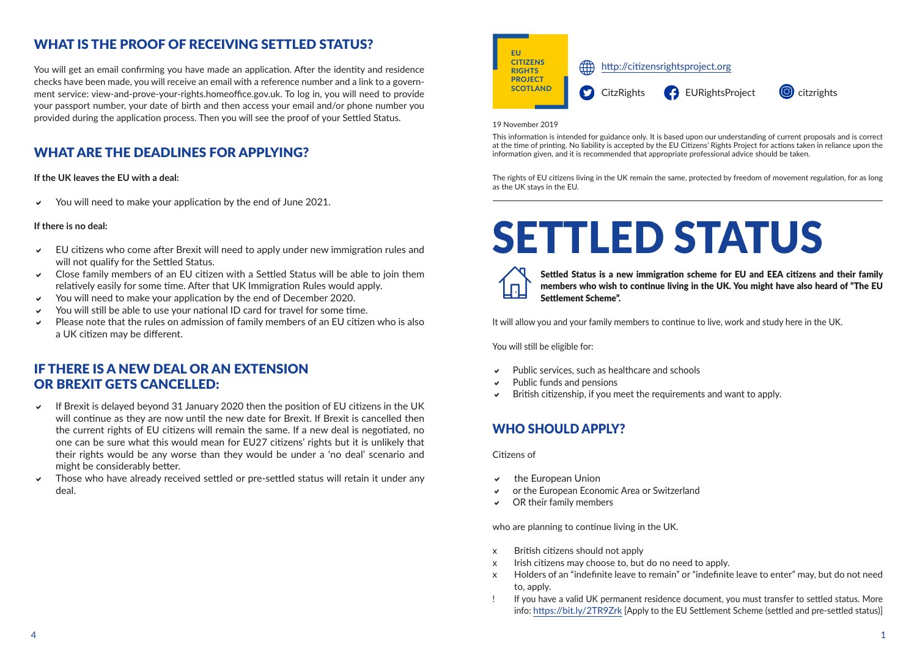#### WHAT IS THE PROOF OF RECEIVING SETTLED STATUS?

You will get an email confirming you have made an application. After the identity and residence checks have been made, you will receive an email with a reference number and a link to a government service: view-and-prove-your-rights.homeoffice.gov.uk. To log in, you will need to provide your passport number, your date of birth and then access your email and/or phone number you provided during the application process. Then you will see the proof of your Settled Status.

# WHAT ARE THE DEADLINES FOR APPLYING?

**If the UK leaves the EU with a deal:**

 $\vee$  You will need to make your application by the end of June 2021.

#### **If there is no deal:**

- $\vee$  EU citizens who come after Brexit will need to apply under new immigration rules and will not qualify for the Settled Status.
- Close family members of an EU citizen with a Settled Status will be able to join them relatively easily for some time. After that UK Immigration Rules would apply.
- You will need to make your application by the end of December 2020.
- $\vee$  You will still be able to use your national ID card for travel for some time.
- D Please note that the rules on admission of family members of an EU citizen who is also a UK citizen may be different.

#### IF THERE IS A NEW DEAL OR AN EXTENSION OR BREXIT GETS CANCELLED:

- $\vee$  If Brexit is delayed beyond 31 January 2020 then the position of EU citizens in the UK will continue as they are now until the new date for Brexit. If Brexit is cancelled then the current rights of EU citizens will remain the same. If a new deal is negotiated, no one can be sure what this would mean for EU27 citizens' rights but it is unlikely that their rights would be any worse than they would be under a 'no deal' scenario and might be considerably better.
- Those who have already received settled or pre-settled status will retain it under any deal.



#### 19 November 2019

This information is intended for guidance only. It is based upon our understanding of current proposals and is correct at the time of printing. No liability is accepted by the EU Citizens' Rights Project for actions taken in reliance upon the information given, and it is recommended that appropriate professional advice should be taken.

The rights of EU citizens living in the UK remain the same, protected by freedom of movement regulation, for as long as the UK stays in the EU.

# SETTLED STATUS

Settled Status is a new immigration scheme for EU and EEA citizens and their family members who wish to continue living in the UK. You might have also heard of "The EU Settlement Scheme".

It will allow you and your family members to continue to live, work and study here in the UK.

You will still be eligible for:

- D Public services, such as healthcare and schools
- Public funds and pensions
- $\triangledown$  British citizenship, if you meet the requirements and want to apply.

#### WHO SHOULD APPLY?

Citizens of

- $\vee$  the European Union
- $\vee$  or the European Economic Area or Switzerland
- $\vee$  OR their family members

who are planning to continue living in the UK.

- x British citizens should not apply
- x Irish citizens may choose to, but do no need to apply.
- x Holders of an "indefinite leave to remain" or "indefinite leave to enter" may, but do not need to, apply.
- If you have a valid UK permanent residence document, you must transfer to settled status. More info:<https://bit.ly/2TR9Zrk> [Apply to the EU Settlement Scheme (settled and pre-settled status)]